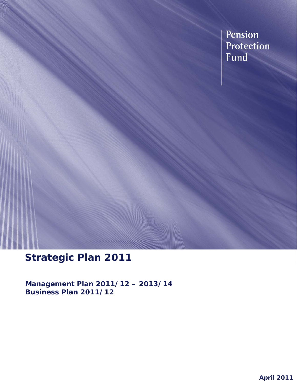Pension Protection Fund

# **Strategic Plan 2011**

**Management Plan 2011/12 – 2013/14 Business Plan 2011/12**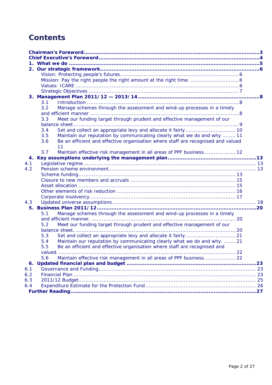## **Contents**

| 3.1                                                                                     |  |
|-----------------------------------------------------------------------------------------|--|
| Manage schemes through the assessment and wind-up processes in a timely<br>3.2          |  |
|                                                                                         |  |
| Meet our funding target through prudent and effective management of our<br>3.3          |  |
|                                                                                         |  |
| Set and collect an appropriate levy and allocate it fairly 10                           |  |
| 3.4                                                                                     |  |
| 3.5<br>Maintain our reputation by communicating clearly what we do and why  11          |  |
| Be an efficient and effective organisation where staff are recognised and valued<br>3.6 |  |
| 11                                                                                      |  |
| 3.7<br>Maintain effective risk management in all areas of PPF business 12               |  |
|                                                                                         |  |
| 4.1                                                                                     |  |
| 4.2                                                                                     |  |
|                                                                                         |  |
|                                                                                         |  |
|                                                                                         |  |
|                                                                                         |  |
|                                                                                         |  |
| 4.3                                                                                     |  |
| 5.                                                                                      |  |
| Manage schemes through the assessment and wind-up processes in a timely<br>5.1          |  |
|                                                                                         |  |
| Meet our funding target through prudent and effective management of our<br>5.2          |  |
|                                                                                         |  |
| 5.3                                                                                     |  |
| Maintain our reputation by communicating clearly what we do and why.  21<br>5.4         |  |
| Be an efficient and effective organisation where staff are recognised and<br>5.5        |  |
|                                                                                         |  |
| 5.6<br>Maintain effective risk management in all areas of PPF business 22               |  |
| 6.                                                                                      |  |
| 6.1                                                                                     |  |
| 6.2                                                                                     |  |
| 6.3                                                                                     |  |
| 6.4                                                                                     |  |
|                                                                                         |  |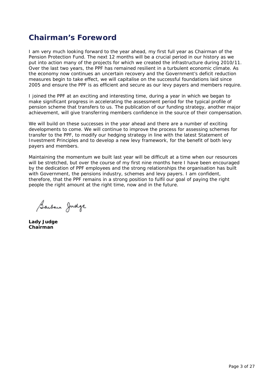## **Chairman's Foreword**

I am very much looking forward to the year ahead, my first full year as Chairman of the Pension Protection Fund. The next 12 months will be a crucial period in our history as we put into action many of the projects for which we created the infrastructure during 2010/11. Over the last two years, the PPF has remained resilient in a turbulent economic climate. As the economy now continues an uncertain recovery and the Government's deficit reduction measures begin to take effect, we will capitalise on the successful foundations laid since 2005 and ensure the PPF is as efficient and secure as our levy payers and members require.

I joined the PPF at an exciting and interesting time, during a year in which we began to make significant progress in accelerating the assessment period for the typical profile of pension scheme that transfers to us. The publication of our funding strategy, another major achievement, will give transferring members confidence in the source of their compensation.

We will build on these successes in the year ahead and there are a number of exciting developments to come. We will continue to improve the process for assessing schemes for transfer to the PPF, to modify our hedging strategy in line with the latest Statement of Investment Principles and to develop a new levy framework, for the benefit of both levy payers and members.

Maintaining the momentum we built last year will be difficult at a time when our resources will be stretched, but over the course of my first nine months here I have been encouraged by the dedication of PPF employees and the strong relationships the organisation has built with Government, the pensions industry, schemes and levy payers. I am confident, therefore, that the PPF remains in a strong position to fulfil our goal of paying the right people the right amount at the right time, now and in the future.

Barbara Judge

**Lady Judge Chairman**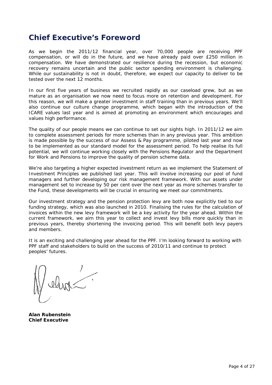## **Chief Executive's Foreword**

As we begin the 2011/12 financial year, over 70,000 people are receiving PPF compensation, or will do in the future, and we have already paid over £250 million in compensation. We have demonstrated our resilience during the recession, but economic recovery remains uncertain and the public sector spending environment is challenging. While our sustainability is not in doubt, therefore, we expect our capacity to deliver to be tested over the next 12 months.

In our first five years of business we recruited rapidly as our caseload grew, but as we mature as an organisation we now need to focus more on retention and development. For this reason, we will make a greater investment in staff training than in previous years. We'll also continue our culture change programme, which began with the introduction of the ICARE values last year and is aimed at promoting an environment which encourages and values high performance.

The quality of our people means we can continue to set our sights high. In 2011/12 we aim to complete assessment periods for more schemes than in any previous year. This ambition is made possible by the success of our *Assess & Pay* programme, piloted last year and now to be implemented as our standard model for the assessment period. To help realise its full potential, we will continue working closely with the Pensions Regulator and the Department for Work and Pensions to improve the quality of pension scheme data.

We're also targeting a higher expected investment return as we implement the Statement of Investment Principles we published last year. This will involve increasing our pool of fund managers and further developing our risk management framework. With our assets under management set to increase by 50 per cent over the next year as more schemes transfer to the Fund, these developments will be crucial in ensuring we meet our commitments.

Our investment strategy and the pension protection levy are both now explicitly tied to our funding strategy, which was also launched in 2010. Finalising the rules for the calculation of invoices within the new levy framework will be a key activity for the year ahead. Within the current framework, we aim this year to collect and invest levy bills more quickly than in previous years, thereby shortening the invoicing period. This will benefit both levy payers and members.

It is an exciting and challenging year ahead for the PPF. I'm looking forward to working with PPF staff and stakeholders to build on the success of 2010/11 and continue to protect peoples' futures.

**Alan Rubenstein Chief Executive**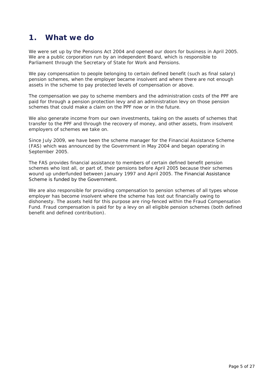## **1. What we do**

We were set up by the Pensions Act 2004 and opened our doors for business in April 2005. We are a public corporation run by an independent Board, which is responsible to Parliament through the Secretary of State for Work and Pensions.

We pay compensation to people belonging to certain defined benefit (such as final salary) pension schemes, when the employer became insolvent and where there are not enough assets in the scheme to pay protected levels of compensation or above.

The compensation we pay to scheme members and the administration costs of the PPF are paid for through a pension protection levy and an administration levy on those pension schemes that could make a claim on the PPF now or in the future.

We also generate income from our own investments, taking on the assets of schemes that transfer to the PPF and through the recovery of money, and other assets, from insolvent employers of schemes we take on.

Since July 2009, we have been the scheme manager for the Financial Assistance Scheme (FAS) which was announced by the Government in May 2004 and began operating in September 2005.

The FAS provides financial assistance to members of certain defined benefit pension schemes who lost all, or part of, their pensions before April 2005 because their schemes wound up underfunded between January 1997 and April 2005. The Financial Assistance Scheme is funded by the Government.

We are also responsible for providing compensation to pension schemes of all types whose employer has become insolvent where the scheme has lost out financially owing to dishonesty. The assets held for this purpose are ring-fenced within the Fraud Compensation Fund. Fraud compensation is paid for by a levy on all eligible pension schemes (both defined benefit and defined contribution).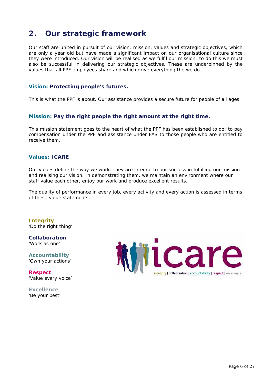## **2. Our strategic framework**

Our staff are united in pursuit of our vision, mission, values and strategic objectives, which are only a year old but have made a significant impact on our organisational culture since they were introduced. Our vision will be realised as we fulfil our mission; to do this we must also be successful in delivering our strategic objectives. These are underpinned by the values that all PPF employees share and which drive everything the we do.

#### **Vision: Protecting people's futures.**

This is what the PPF is about. Our assistance provides a secure future for people of all ages.

### **Mission: Pay the right people the right amount at the right time.**

This mission statement goes to the heart of what the PPF has been established to do: to pay compensation under the PPF and assistance under FAS to those people who are entitled to receive them.

### **Values: ICARE**

Our values define the way we work: they are integral to our success in fulfilling our mission and realising our vision. In demonstrating them, we maintain an environment where our staff value each other, enjoy our work and produce excellent results.

The quality of performance in every job, every activity and every action is assessed in terms of these value statements:

**Integrity**  'Do the right thing'

**Collaboration**  'Work as one'

**Accountability**  'Own your actions'

**Respect**  'Value every voice'

**Excellence**  'Be your best'

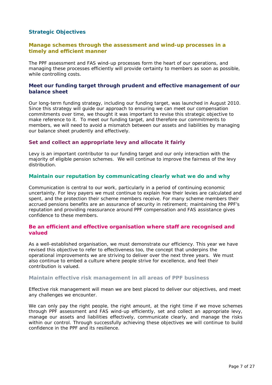### **Strategic Objectives**

### **Manage schemes through the assessment and wind-up processes in a timely and efficient manner**

The PPF assessment and FAS wind-up processes form the heart of our operations, and managing these processes efficiently will provide certainty to members as soon as possible, while controlling costs.

### **Meet our funding target through prudent and effective management of our balance sheet**

Our long-term funding strategy, including our funding target, was launched in August 2010. Since this strategy will guide our approach to ensuring we can meet our compensation commitments over time, we thought it was important to revise this strategic objective to make reference to it. To meet our funding target, and therefore our commitments to members, we will need to avoid a mismatch between our assets and liabilities by managing our balance sheet prudently and effectively.

#### **Set and collect an appropriate levy and allocate it fairly**

Levy is an important contributor to our funding target and our only interaction with the majority of eligible pension schemes. We will continue to improve the fairness of the levy distribution.

#### **Maintain our reputation by communicating clearly what we do and why**

Communication is central to our work, particularly in a period of continuing economic uncertainty. For levy payers we must continue to explain how their levies are calculated and spent, and the protection their scheme members receive. For many scheme members their accrued pensions benefits are an assurance of security in retirement; maintaining the PPF's reputation and providing reassurance around PPF compensation and FAS assistance gives confidence to these members.

#### **Be an efficient and effective organisation where staff are recognised and valued**

As a well-established organisation, we must demonstrate our efficiency. This year we have revised this objective to refer to effectiveness too, the concept that underpins the operational improvements we are striving to deliver over the next three years. We must also continue to embed a culture where people strive for excellence, and feel their contribution is valued.

#### **Maintain effective risk management in all areas of PPF business**

Effective risk management will mean we are best placed to deliver our objectives, and meet any challenges we encounter.

We can only pay the right people, the right amount, at the right time if we move schemes through PPF assessment and FAS wind-up efficiently, set and collect an appropriate levy, manage our assets and liabilities effectively, communicate clearly, and manage the risks within our control. Through successfully achieving these objectives we will continue to build confidence in the PPF and its resilience.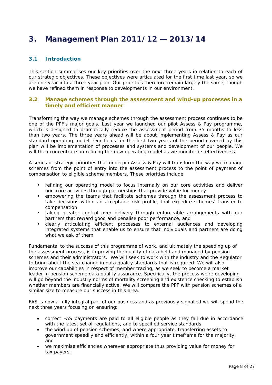## **3. Management Plan 2011/12 — 2013/14**

### **3.1 Introduction**

This section summarises our key priorities over the next three years in relation to each of our strategic objectives. These objectives were articulated for the first time last year, so we are one year into a three year plan. Our priorities therefore remain largely the same, though we have refined them in response to developments in our environment.

#### **3.2 Manage schemes through the assessment and wind-up processes in a timely and efficient manner**

Transforming the way we manage schemes through the assessment process continues to be one of the PPF's major goals. Last year we launched our pilot *Assess & Pay* programme, which is designed to dramatically reduce the assessment period from 35 months to less than two years. The three years ahead will be about implementing *Assess & Pay* as our standard operating model. Our focus for the first two years of the period covered by this plan will be implementation of processes and systems and development of our people. We will then concentrate on refining the new operating model as we monitor its effectiveness.

A series of strategic priorities that underpin *Assess & Pay* will transform the way we manage schemes from the point of entry into the assessment process to the point of payment of compensation to eligible scheme members. These priorities include:

- refining our operating model to focus internally on our core activities and deliver non-core activities through partnerships that provide value for money
- empowering the teams that facilitate schemes through the assessment process to take decisions within an acceptable risk profile, that expedite schemes' transfer to compensation
- taking greater control over delivery through enforceable arrangements with our partners that reward good and penalise poor performance, and
- clearly articulating efficient processes to external audiences and developing integrated systems that enable us to ensure that individuals and partners are doing what we ask of them.

Fundamental to the success of this programme of work, and ultimately the speeding up of the assessment process, is improving the quality of data held and managed by pension schemes and their administrators. We will seek to work with the industry and the Regulator to bring about the sea-change in data quality standards that is required. We will also improve our capabilities in respect of member tracing, as we seek to become a market leader in pension scheme data quality assurance. Specifically, the process we're developing will go beyond the industry norms of mortality screening and existence checking to establish whether members are financially active. We will compare the PPF with pension schemes of a similar size to measure our success in this area.

FAS is now a fully integral part of our business and as previously signalled we will spend the next three years focusing on ensuring:

- correct FAS payments are paid to all eligible people as they fall due in accordance with the latest set of regulations, and to specified service standards
- the wind up of pension schemes, and where appropriate, transferring assets to government speedily and efficiently, within a four year timeframe for the majority, and
- we maximise efficiencies wherever appropriate thus providing value for money for tax payers.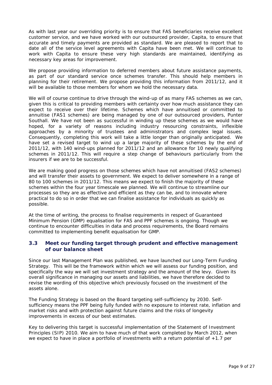As with last year our overriding priority is to ensure that FAS beneficiaries receive excellent customer service, and we have worked with our outsourced provider, Capita, to ensure that accurate and timely payments are provided as standard. We are pleased to report that to date all of the service level agreements with Capita have been met. We will continue to work with Capita to ensure these very high standards are maintained, identifying as necessary key areas for improvement.

We propose providing information to deferred members about future assistance payments, as part of our standard service once schemes transfer. This should help members in planning for their retirement. We propose providing this information from 2011/12, and it will be available to those members for whom we hold the necessary data.

We will of course continue to drive through the wind-up of as many FAS schemes as we can, given this is critical to providing members with certainty over how much assistance they can expect to receive over their lifetime. Schemes which have annuitised or committed to annuitise (FAS1 schemes) are being managed by one of our outsourced providers, Punter Southall. We have not been as successful in winding up these schemes as we would have hoped, for a variety of reasons including industry resourcing constraints, inflexible approaches by a minority of trustees and administrators and complex legal issues. Consequently, completing this work will take a little longer than originally anticipated. We have set a revised target to wind up a large majority of these schemes by the end of 2011/12, with 140 wind-ups planned for 2011/12 and an allowance for 10 newly qualifying schemes in 2011/12. This will require a step change of behaviours particularly from the insurers if we are to be successful.

We are making good progress on those schemes which have not annuitised (FAS2 schemes) and will transfer their assets to government. We expect to deliver somewhere in a range of 80 to 100 schemes in 2011/12. This means we expect to finish the majority of these schemes within the four year timescale we planned. We will continue to streamline our processes so they are as effective and efficient as they can be, and to innovate where practical to do so in order that we can finalise assistance for individuals as quickly as possible.

At the time of writing, the process to finalise requirements in respect of Guaranteed Minimum Pension (GMP) equalisation for FAS and PPF schemes is ongoing. Though we continue to encounter difficulties in data and process requirements, the Board remains committed to implementing benefit equalisation for GMP.

### **3.3 Meet our funding target through prudent and effective management of our balance sheet**

Since our last Management Plan was published, we have launched our *Long-Term Funding Strategy*. This will be the framework within which we will assess our funding position, and specifically the way we will set investment strategy and the amount of the levy. Given its overall significance in managing our assets and liabilities, we have therefore decided to revise the wording of this objective which previously focused on the investment of the assets alone.

The Funding Strategy is based on the Board targeting self-sufficiency by 2030. Selfsufficiency means the PPF being fully funded with no exposure to interest rate, inflation and market risks and with protection against future claims and the risks of longevity improvements in excess of our best estimates.

Key to delivering this target is successful implementation of the *Statement of Investment Principles* (SIP) 2010. We aim to have much of that work completed by March 2012, when we expect to have in place a portfolio of investments with a return potential of +1.7 per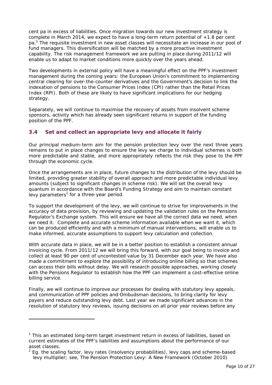cent pa in excess of liabilities. Once migration towards our new investment strategy is complete in March 2014, we expect to have a long-term return potential of +1.8 per cent pa.<sup>1</sup> The requisite investment in new asset classes will necessitate an increase in our pool of fund managers. This diversification will be matched by a more proactive investment capability. The risk management framework we are putting in place during 2011/12 will enable us to adapt to market conditions more quickly over the years ahead.

Two developments in external policy will have a meaningful effect on the PPF's investment management during the coming years: the European Union's commitment to implementing central clearing for over-the-counter derivatives and the Government's decision to link the indexation of pensions to the Consumer Prices Index (CPI) rather than the Retail Prices Index (RPI). Both of these are likely to have significant implications for our hedging strategy.

Separately, we will continue to maximise the recovery of assets from insolvent scheme sponsors, activity which has already seen significant returns in support of the funding position of the PPF.

### **3.4 Set and collect an appropriate levy and allocate it fairly**

Our principal medium-term aim for the pension protection levy over the next three years remains to put in place changes to ensure the levy we charge to individual schemes is both more predictable and stable, and more appropriately reflects the risk they pose to the PPF through the economic cycle.

Once the arrangements are in place, future changes to the distribution of the levy should be limited, providing greater stability of overall approach and more predictable individual levy amounts (subject to significant changes in scheme risk). We will set the overall levy quantum in accordance with the Board's Funding Strategy and aim to maintain constant levy parameters<sup>2</sup> for a three-year period.

To support the development of the levy, we will continue to strive for improvements in the accuracy of data provision, by reviewing and updating the validation rules on the Pensions Regulator's *Exchange* system. This will ensure we have all the correct data we need, when we need it. Complete and accurate scheme information available when we want it, which can be produced efficiently and with a minimum of manual interventions, will enable us to make informed, accurate assumptions to support levy calculation and collection.

With accurate data in place, we will be in a better position to establish a consistent annual invoicing cycle. From 2011/12 we will bring this forward, with our goal being to invoice and collect at least 90 per cent of uncontested value by 31 December each year. We have also made a commitment to explore the possibility of introducing online billing so that schemes can access their bills without delay. We will research possible approaches, working closely with the Pensions Regulator to establish how the PPF can implement a cost-effective online billing service.

Finally, we will continue to improve our processes for dealing with statutory levy appeals, and communication of PPF policies and Ombudsman decisions, to bring clarity for levy payers and reduce outstanding levy debt. Last year we made significant advances in the resolution of statutory levy reviews, issuing decisions on all prior year reviews before any

-

<sup>&</sup>lt;sup>1</sup> This an estimated long-term target investment return in excess of liabilities, based on current estimates of the PPF's liabilities and assumptions about the performance of our asset classes.

 $2$  Eg. the scaling factor, levy rates (insolvency probabilities), levy caps and scheme-based levy multiplier; see, *The Pension Protection Levy: A New Framework* (October 2010)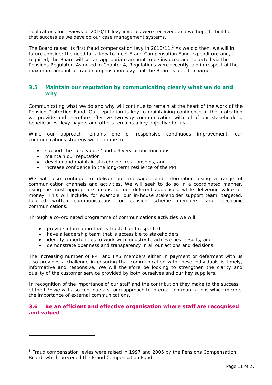applications for reviews of 2010/11 levy invoices were received, and we hope to build on that success as we develop our case management systems.

The Board raised its first fraud compensation levy in 2010/11. $<sup>3</sup>$  As we did then, we will in</sup> future consider the need for a levy to meet Fraud Compensation Fund expenditure and, if required, the Board will set an appropriate amount to be invoiced and collected via the Pensions Regulator. As noted in Chapter 4, Regulations were recently laid in respect of the maximum amount of fraud compensation levy that the Board is able to charge.

### **3.5 Maintain our reputation by communicating clearly what we do and why**

Communicating what we do and why will continue to remain at the heart of the work of the Pension Protection Fund. Our reputation is key to maintaining confidence in the protection we provide and therefore effective two-way communication with all of our stakeholders, beneficiaries, levy-payers and others remains a key objective for us.

While our approach remains one of responsive continuous improvement, our communications strategy will continue to:

- support the 'core values' and delivery of our functions
- maintain our reputation

-

- develop and maintain stakeholder relationships, and
- increase confidence in the long-term resilience of the PPF.

We will also continue to deliver our messages and information using a range of communication channels and activities. We will seek to do so in a coordinated manner, using the most appropriate means for our different audiences, while delivering value for money. This will include, for example, our in-house stakeholder support team, targeted, tailored written communications for pension scheme members, and electronic communications.

Through a co-ordinated programme of communications activities we will:

- provide information that is trusted and respected
- have a leadership team that is accessible to stakeholders
- identify opportunities to work with industry to achieve best results, and
- demonstrate openness and transparency in all our actions and decisions.

The increasing number of PPF and FAS members either in payment or deferment with us also provides a challenge in ensuring that communication with these individuals is timely, informative and responsive. We will therefore be looking to strengthen the clarity and quality of the customer service provided by both ourselves and our key suppliers.

In recognition of the importance of our staff and the contribution they make to the success of the PPF we will also continue a strong approach to internal communications which mirrors the importance of external communications.

### **3.6 Be an efficient and effective organisation where staff are recognised and valued**

<sup>&</sup>lt;sup>3</sup> Fraud compensation levies were raised in 1997 and 2005 by the Pensions Compensation Board, which preceded the Fraud Compensation Fund.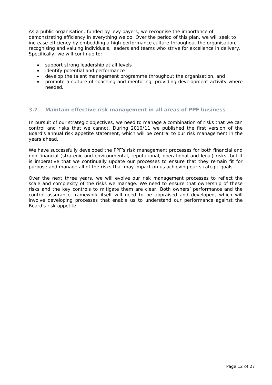As a public organisation, funded by levy payers, we recognise the importance of demonstrating efficiency in everything we do. Over the period of this plan, we will seek to increase efficiency by embedding a high performance culture throughout the organisation, recognising and valuing individuals, leaders and teams who strive for excellence in delivery. Specifically, we will continue to:

- support strong leadership at all levels
- identify potential and performance
- develop the talent management programme throughout the organisation, and
- promote a culture of coaching and mentoring, providing development activity where needed.

#### **3.7 Maintain effective risk management in all areas of PPF business**

In pursuit of our strategic objectives, we need to manage a combination of risks that we can control and risks that we cannot. During 2010/11 we published the first version of the Board's annual risk appetite statement, which will be central to our risk management in the years ahead.

We have successfully developed the PPF's risk management processes for both financial and non-financial (strategic and environmental, reputational, operational and legal) risks, but it is imperative that we continually update our processes to ensure that they remain fit for purpose and manage all of the risks that may impact on us achieving our strategic goals.

Over the next three years, we will evolve our risk management processes to reflect the scale and complexity of the risks we manage. We need to ensure that ownership of these risks and the key controls to mitigate them are clear. Both owners' performance and the control assurance framework itself will need to be appraised and developed, which will involve developing processes that enable us to understand our performance against the Board's risk appetite.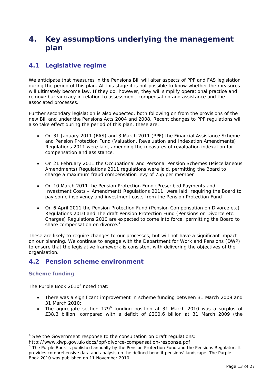## **4. Key assumptions underlying the management plan**

### **4.1 Legislative regime**

We anticipate that measures in the Pensions Bill will alter aspects of PPF and FAS legislation during the period of this plan. At this stage it is not possible to know whether the measures will ultimately become law. If they do, however, they will simplify operational practice and remove bureaucracy in relation to assessment, compensation and assistance and the associated processes.

Further secondary legislation is also expected, both following on from the provisions of the new Bill and under the Pensions Acts 2004 and 2008. Recent changes to PPF regulations will also take effect during the period of this plan, these are:

- On 31 January 2011 (FAS) and 3 March 2011 (PPF) the Financial Assistance Scheme and Pension Protection Fund (Valuation, Revaluation and Indexation Amendments) Regulations 2011 were laid, amending the measures of revaluation indexation for compensation and assistance.
- On 21 February 2011 the Occupational and Personal Pension Schemes (Miscellaneous Amendments) Regulations 2011 regulations were laid, permitting the Board to charge a maximum fraud compensation levy of 75p per member
- On 10 March 2011 the Pension Protection Fund (Prescribed Payments and Investment Costs – Amendment) Regulations 2011 were laid, requiring the Board to pay some insolvency and investment costs from the Pension Protection Fund
- On 6 April 2011 the Pension Protection Fund (Pension Compensation on Divorce etc) Regulations 2010 and The draft Pension Protection Fund (Pensions on Divorce etc: Charges) Regulations 2010 are expected to come into force, permitting the Board to share compensation on divorce.<sup>4</sup>

These are likely to require changes to our processes, but will not have a significant impact on our planning. We continue to engage with the Department for Work and Pensions (DWP) to ensure that the legislative framework is consistent with delivering the objectives of the organisation.

### **4.2 Pension scheme environment**

### **Scheme funding**

-

The Purple Book 2010<sup>5</sup> noted that:

- There was a significant improvement in scheme funding between 31 March 2009 and 31 March 2010;
- The aggregate section 179 $^6$  funding position at 31 March 2010 was a surplus of £38.3 billion, compared with a deficit of £200.6 billion at 31 March 2009 (the

http://www.dwp.gov.uk/docs/ppf-divorce-compensation-response.pdf

<sup>&</sup>lt;sup>4</sup> See the Government response to the consultation on draft regulations:

<sup>&</sup>lt;sup>5</sup> The Purple Book is published annually by the Pension Protection Fund and the Pensions Regulator. It provides comprehensive data and analysis on the defined benefit pensions' landscape. The Purple Book 2010 was published on 11 November 2010.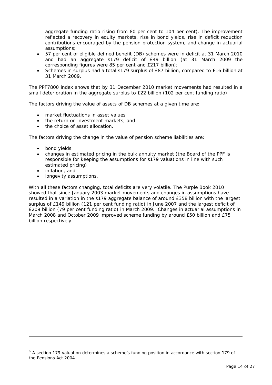aggregate funding ratio rising from 80 per cent to 104 per cent). The improvement reflected a recovery in equity markets, rise in bond yields, rise in deficit reduction contributions encouraged by the pension protection system, and change in actuarial assumptions;

- 57 per cent of eligible defined benefit (DB) schemes were in deficit at 31 March 2010 and had an aggregate s179 deficit of £49 billion (at 31 March 2009 the corresponding figures were 85 per cent and £217 billion);
- Schemes in surplus had a total s179 surplus of £87 billion, compared to £16 billion at 31 March 2009.

The PPF7800 index shows that by 31 December 2010 market movements had resulted in a small deterioration in the aggregate surplus to £22 billion (102 per cent funding ratio).

The factors driving the value of assets of DB schemes at a given time are:

- market fluctuations in asset values
- the return on investment markets, and
- the choice of asset allocation.

The factors driving the change in the value of pension scheme liabilities are:

- bond yields
- changes in estimated pricing in the bulk annuity market (the Board of the PPF is responsible for keeping the assumptions for s179 valuations in line with such estimated pricing)
- inflation, and

-

longevity assumptions.

With all these factors changing, total deficits are very volatile. The Purple Book 2010 showed that since January 2003 market movements and changes in assumptions have resulted in a variation in the s179 aggregate balance of around £358 billion with the largest surplus of £149 billion (121 per cent funding ratio) in June 2007 and the largest deficit of £209 billion (79 per cent funding ratio) in March 2009. Changes in actuarial assumptions in March 2008 and October 2009 improved scheme funding by around £50 billion and £75 billion respectively.

<sup>&</sup>lt;sup>6</sup> A section 179 valuation determines a scheme's funding position in accordance with section 179 of the Pensions Act 2004.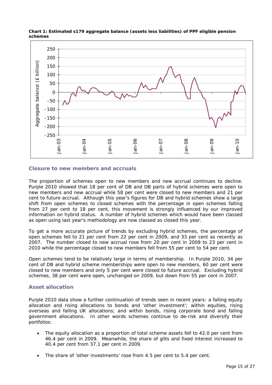

**Chart 1: Estimated s179 aggregate balance (assets less liabilities) of PPF eligible pension schemes** 

#### **Closure to new members and accruals**

The proportion of schemes open to new members and new accrual continues to decline. Purple 2010 showed that 18 per cent of DB and DB parts of hybrid schemes were open to new members and new accrual while 58 per cent were closed to new members and 21 per cent to future accrual. Although this year's figures for DB and hybrid schemes show a large shift from open schemes to closed schemes with the percentage in open schemes falling from 27 per cent to 18 per cent, this movement is strongly influenced by our improved information on hybrid status. A number of hybrid schemes which would have been classed as open using last year's methodology are now classed as closed this year.

To get a more accurate picture of trends by excluding hybrid schemes, the percentage of open schemes fell to 21 per cent from 22 per cent in 2009, and 33 per cent as recently as 2007. The number closed to new accrual rose from 20 per cent in 2009 to 23 per cent in 2010 while the percentage closed to new members fell from 55 per cent to 54 per cent.

Open schemes tend to be relatively large in terms of membership. In Purple 2010, 34 per cent of DB and hybrid scheme memberships were open to new members, 60 per cent were closed to new members and only 5 per cent were closed to future accrual. Excluding hybrid schemes, 38 per cent were open, unchanged on 2009, but down from 55 per cent in 2007.

#### **Asset allocation**

Purple 2010 data show a further continuation of trends seen in recent years: a falling equity allocation and rising allocations to bonds and 'other investment'; within equities, rising overseas and falling UK allocations; and within bonds, rising corporate bond and falling government allocations. In other words schemes continue to de-risk and diversify their portfolios:

- The equity allocation as a proportion of total scheme assets fell to 42.0 per cent from 46.4 per cent in 2009. Meanwhile, the share of gilts and fixed interest increased to 40.4 per cent from 37.1 per cent in 2009.
- The share of 'other investments' rose from 4.5 per cent to 5.4 per cent.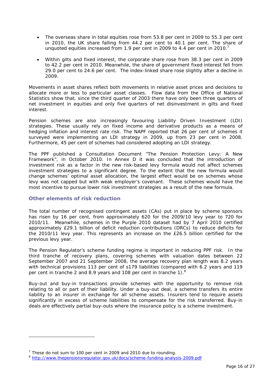- The overseas share in total equities rose from 53.8 per cent in 2009 to 55.3 per cent in 2010, the UK share falling from 44.2 per cent to 40.1 per cent. The share of unquoted equities increased from 1.9 per cent in 2009 to 4.4 per cent in 2010.<sup>7</sup>
- Within gilts and fixed interest, the corporate share rose from 38.3 per cent in 2009 to 42.2 per cent in 2010. Meanwhile, the share of government fixed interest fell from 29.0 per cent to 24.6 per cent. The index-linked share rose slightly after a decline in 2009.

Movements in asset shares reflect both movements in relative asset prices and decisions to allocate more or less to particular asset classes. Flow data from the Office of National Statistics show that, since the third quarter of 2003 there have only been three quarters of net investment in equities and only five quarters of net disinvestment in gilts and fixed interest.

Pension schemes are also increasingly favouring Liability Driven Investment (LDI) strategies. These usually rely on fixed income and derivative products as a means of hedging inflation and interest rate risk. The NAPF reported that 26 per cent of schemes it surveyed were implementing an LDI strategy in 2009, up from 23 per cent in 2008. Furthermore, 45 per cent of schemes had considered adopting an LDI strategy.

The PPF published a Consultation Document "The Pension Protection Levy: A New Framework", in October 2010. In Annex D it was concluded that the introduction of investment risk as a factor in the new risk-based levy formula would not affect schemes investment strategies to a significant degree. To the extent that the new formula would change schemes' optimal asset allocation, the largest effect would be on schemes whose levy was not capped but with weak employer's covenant. These schemes would have the most incentive to pursue lower risk investment strategies as a result of the new formula.

### **Other elements of risk reduction**

-

The total number of recognised contingent assets (CAs) put in place by scheme sponsors has risen by 16 per cent, from approximately 620 for the 2009/10 levy year to 720 for 2010/11. Meanwhile, schemes in the Purple 2010 dataset had by 7 April 2010 certified approximately £29.1 billion of deficit reduction contributions (DRCs) to reduce deficits for the 2010/11 levy year. This represents an increase on the £26.5 billion certified for the previous levy year.

The Pension Regulator's scheme funding regime is important in reducing PPF risk. In the third tranche of recovery plans, covering schemes with valuation dates between 22 September 2007 and 21 September 2008, the average recovery plan length was 8.2 years with technical provisions 113 per cent of s179 liabilities (compared with 6.2 years and 119 per cent in tranche 2 and 8.9 years and 108 per cent in tranche 1). $8$ 

Buy-out and buy-in transactions provide schemes with the opportunity to remove risk relating to all or part of their liability. Under a buy-out deal, a scheme transfers its entire liability to an insurer in exchange for all scheme assets. Insurers tend to require assets significantly in excess of scheme liabilities to compensate for the risk transferred. Buy-in deals are effectively partial buy-outs where the insurance policy is a scheme investment.

 $7$  These do not sum to 100 per cent in 2009 and 2010 due to rounding.

<sup>8</sup> http://www.thepensionsregulator.gov.uk/docs/scheme-funding-analysis-2009.pdf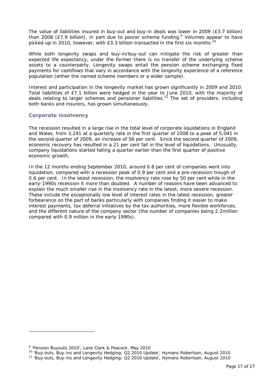The value of liabilities insured in buy-out and buy-in deals was lower in 2009 (£3.7 billion) than 2008 (£7.9 billion), in part due to poorer scheme funding.<sup>9</sup> Volumes appear to have picked up in 2010, however, with £3.3 billion transacted in the first six months.<sup>10</sup>

While both longevity swaps and buy-in/buy-out can mitigate the risk of greater than expected life expectancy, under the former there is no transfer of the underlying scheme assets to a counterparty. Longevity swaps entail the pension scheme exchanging fixed payments for cashflows that vary in accordance with the longevity experience of a reference population (either the named scheme members or a wider sample).

Interest and participation in the longevity market has grown significantly in 2009 and 2010. Total liabilities of £7.1 billion were hedged in the year to June 2010, with the majority of deals relating to larger schemes and pensioner liabilities.<sup>11</sup> The set of providers, including both banks and insurers, has grown simultaneously.

#### **Corporate insolvency**

The recession resulted in a large rise in the total level of corporate liquidations in England and Wales, from 3,241 at a quarterly rate in the first quarter of 2008 to a peak of 5,041 in the second quarter of 2009, an increase of 56 per cent. Since the second quarter of 2009, economic recovery has resulted in a 21 per cent fall in the level of liquidations. Unusually, company liquidations started falling a quarter earlier than the first quarter of positive economic growth.

In the 12 months ending September 2010, around 0.8 per cent of companies went into liquidation, compared with a recession peak of 0.9 per cent and a pre-recession trough of 0.6 per cent. In the latest recession, the insolvency rate rose by 50 per cent while in the early-1990s recession it more than doubled. A number of reasons have been advanced to explain the much smaller rise in the insolvency rate in the latest, more severe recession. These include the exceptionally low level of interest rates in the latest recession, greater forbearance on the part of banks particularly with companies finding it easier to make interest payments, tax deferral initiatives by the tax authorities, more flexible workforces, and the different nature of the company sector (the number of companies being 2.2million compared with 0.9 million in the early 1990s).

-

<sup>&</sup>lt;sup>9</sup> 'Pension Buyouts 2010', Lane Clark & Peacock, May 2010

<sup>10 &#</sup>x27;Buy-outs, Buy-ins and Longevity Hedging: Q2 2010 Update', Hymans Robertson, August 2010<br><sup>11</sup> 'Buy-outs, Buy-ins and Longevity Hedging: Q2 2010 Update', Hymans Robertson, August 2010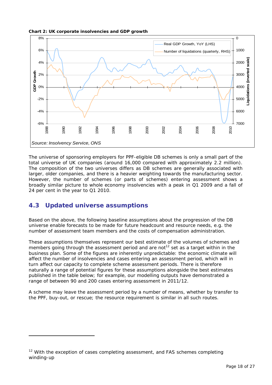**Chart 2: UK corporate insolvencies and GDP growth** 



The universe of sponsoring employers for PPF-eligible DB schemes is only a small part of the total universe of UK companies (around 16,000 compared with approximately 2.2 million). The composition of the two universes differs as DB schemes are generally associated with larger, older companies, and there is a heavier weighting towards the manufacturing sector. However, the number of schemes (or parts of schemes) entering assessment shows a broadly similar picture to whole economy insolvencies with a peak in Q1 2009 and a fall of 24 per cent in the year to Q1 2010.

### **4.3 Updated universe assumptions**

-

Based on the above, the following baseline assumptions about the progression of the DB universe enable forecasts to be made for future headcount and resource needs, e.g. the number of assessment team members and the costs of compensation administration.

These assumptions themselves represent our best estimate of the volumes of schemes and members going through the assessment period and are not<sup>12</sup> set as a target within in the business plan. Some of the figures are inherently unpredictable: the economic climate will affect the number of insolvencies and cases entering an assessment period, which will in turn affect our capacity to complete scheme assessment periods. There is therefore naturally a range of potential figures for these assumptions alongside the best estimates published in the table below; for example, our modelling outputs have demonstrated a range of between 90 and 200 cases entering assessment in 2011/12.

A scheme may leave the assessment period by a number of means, whether by transfer to the PPF, buy-out, or rescue; the resource requirement is similar in all such routes.

<sup>&</sup>lt;sup>12</sup> With the exception of cases completing assessment, and FAS schemes completing winding-up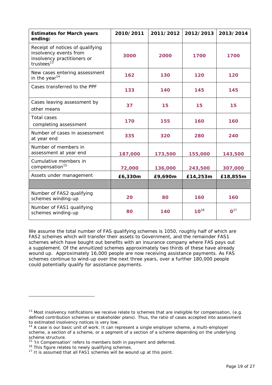| <b>Estimates for March years</b><br>ending:                                                                         | 2010/2011 | 2011/2012 | 2012/2013 | 2013/2014       |
|---------------------------------------------------------------------------------------------------------------------|-----------|-----------|-----------|-----------------|
| Receipt of notices of qualifying<br>insolvency events from<br>insolvency practitioners or<br>trustees <sup>13</sup> | 3000      | 2000      | 1700      | 1700            |
| New cases entering assessment<br>in the year <sup>14</sup>                                                          | 162       | 130       | 120       | 120             |
| Cases transferred to the PPF                                                                                        | 133       | 140       | 145       | 145             |
| Cases leaving assessment by<br>other means                                                                          | 37        | 15        | 15        | 15              |
| <b>Total cases</b><br>completing assessment                                                                         | 170       | 155       | 160       | 160             |
| Number of cases in assessment<br>at year end                                                                        | 335       | 320       | 280       | 240             |
| Number of members in<br>assessment at year end                                                                      | 187,000   | 173,500   | 155,000   | 143,500         |
| Cumulative members in<br>compensation <sup>15</sup>                                                                 | 72,000    | 136,000   | 243,500   | 307,000         |
| Assets under management                                                                                             | £6,330m   | £9,690m   | £14,253m  | £18,855m        |
|                                                                                                                     |           |           |           |                 |
| Number of FAS2 qualifying<br>schemes winding-up                                                                     | 20        | 80        | 160       | 160             |
| Number of FAS1 qualifying<br>schemes winding-up                                                                     | 80        | 140       | $10^{16}$ | 0 <sup>17</sup> |

We assume the total number of FAS qualifying schemes is 1050, roughly half of which are FAS2 schemes which will transfer their assets to Government, and the remainder FAS1 schemes which have bought out benefits with an insurance company where FAS pays out a supplement. Of the annuitized schemes approximately two thirds of these have already wound up. Approximately 16,000 people are now receiving assistance payments. As FAS schemes continue to wind-up over the next three years, over a further 180,000 people could potentially qualify for assistance payments.

-

 $13$  Most insolvency notifications we receive relate to schemes that are ineligible for compensation, (e.g. defined contribution schemes or stakeholder plans). Thus, the ratio of cases accepted into assessment to estimated insolvency notices is very low.

 $14$  A case is our basic unit of work. It can represent a single employer scheme, a multi-employer scheme, a section of a scheme, or a segment of a section of a scheme depending on the underlying scheme structure.

<sup>&</sup>lt;sup>15</sup> 'In Compensation' refers to members both in payment and deferred.<br><sup>16</sup> This figure relates to newly qualifying schemes.<br><sup>17</sup> It is assumed that all FAS1 schemes will be wound up at this point.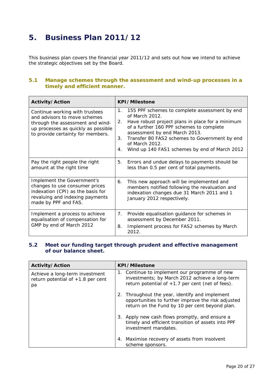## **5. Business Plan 2011/12**

This business plan covers the financial year 2011/12 and sets out how we intend to achieve the strategic objectives set by the Board.

### **5.1 Manage schemes through the assessment and wind-up processes in a timely and efficient manner.**

| Activity/Action                                                                                                                                                                | <b>KPI/Milestone</b>                                                                                                                                                                                                                                                                                                                         |  |  |  |  |
|--------------------------------------------------------------------------------------------------------------------------------------------------------------------------------|----------------------------------------------------------------------------------------------------------------------------------------------------------------------------------------------------------------------------------------------------------------------------------------------------------------------------------------------|--|--|--|--|
| Continue working with trustees<br>and advisors to move schemes<br>through the assessment and wind-<br>up processes as quickly as possible<br>to provide certainty for members. | 155 PPF schemes to complete assessment by end<br>1.<br>of March 2012.<br>Have robust project plans in place for a minimum<br>2.<br>of a further 160 PPF schemes to complete<br>assessment by end March 2013.<br>Transfer 80 FAS2 schemes to Government by end<br>3.<br>of March 2012.<br>Wind up 140 FAS1 schemes by end of March 2012<br>4. |  |  |  |  |
| Pay the right people the right<br>amount at the right time                                                                                                                     | Errors and undue delays to payments should be<br>5.<br>less than 0.5 per cent of total payments.                                                                                                                                                                                                                                             |  |  |  |  |
| Implement the Government's<br>changes to use consumer prices<br>indexation (CPI) as the basis for<br>revaluing and indexing payments<br>made by PPF and FAS.                   | This new approach will be implemented and<br>6.<br>members notified following the revaluation and<br>indexation changes due 31 March 2011 and 1<br>January 2012 respectively.                                                                                                                                                                |  |  |  |  |
| Implement a process to achieve<br>equalisation of compensation for<br>GMP by end of March 2012                                                                                 | Provide equalisation guidance for schemes in<br>7.<br>assessment by December 2011.<br>Implement process for FAS2 schemes by March<br>8.<br>2012.                                                                                                                                                                                             |  |  |  |  |

### **5.2 Meet our funding target through prudent and effective management of our balance sheet.**

| Activity/Action                                                             | <b>KPI/Milestone</b>                                                                                                                                   |
|-----------------------------------------------------------------------------|--------------------------------------------------------------------------------------------------------------------------------------------------------|
| Achieve a long-term investment<br>return potential of $+1.8$ per cent<br>pa | 1. Continue to implement our programme of new<br>investments; by March 2012 achieve a long-term<br>return potential of $+1.7$ per cent (net of fees).  |
|                                                                             | 2. Throughout the year, identify and implement<br>opportunities to further improve the risk adjusted<br>return on the Fund by 10 per cent beyond plan. |
|                                                                             | 3. Apply new cash flows promptly, and ensure a<br>timely and efficient transition of assets into PPF<br>investment mandates.                           |
|                                                                             | 4. Maximise recovery of assets from insolvent<br>scheme sponsors.                                                                                      |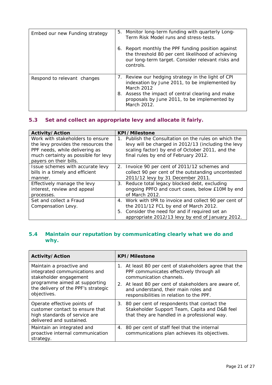| Embed our new Funding strategy | 5. Monitor long-term funding with quarterly Long-<br>Term Risk Model runs and stress-tests.                                                                                                                                           |
|--------------------------------|---------------------------------------------------------------------------------------------------------------------------------------------------------------------------------------------------------------------------------------|
|                                | 6. Report monthly the PPF funding position against<br>the threshold 80 per cent likelihood of achieving<br>our long-term target. Consider relevant risks and<br>controls.                                                             |
| Respond to relevant changes    | 7. Review our hedging strategy in the light of CPI<br>indexation by June 2011, to be implemented by<br>March 2012<br>8. Assess the impact of central clearing and make<br>proposals by June 2011, to be implemented by<br>March 2012. |

### **5.3 Set and collect an appropriate levy and allocate it fairly.**

| Activity/Action                               | <b>KPI/Milestone</b>                                                                                                                                                                                   |
|-----------------------------------------------|--------------------------------------------------------------------------------------------------------------------------------------------------------------------------------------------------------|
| Work with stakeholders to ensure              | Publish the Consultation on the rules on which the                                                                                                                                                     |
| the levy provides the resources the           | 1.                                                                                                                                                                                                     |
| PPF needs, while delivering as                | levy will be charged in 2012/13 (including the levy                                                                                                                                                    |
| much certainty as possible for levy           | scaling factor) by end of October 2011, and the                                                                                                                                                        |
| payers on their bills.                        | final rules by end of February 2012.                                                                                                                                                                   |
| Issue schemes with accurate levy              | 2. Invoice 90 per cent of 2011/12 schemes and                                                                                                                                                          |
| bills in a timely and efficient               | collect 90 per cent of the outstanding uncontested                                                                                                                                                     |
| manner.                                       | 2011/12 levy by 31 December 2011.                                                                                                                                                                      |
| Effectively manage the levy                   | 3. Reduce total legacy blocked debt, excluding                                                                                                                                                         |
| interest, review and appeal                   | ongoing PPFO and court cases, below £10M by end                                                                                                                                                        |
| processes.                                    | of March 2012.                                                                                                                                                                                         |
| Set and collect a Fraud<br>Compensation Levy. | 4. Work with tPR to invoice and collect 90 per cent of<br>the 2011/12 FCL by end of March 2012.<br>5. Consider the need for and if required set an<br>appropriate 2012/13 levy by end of January 2012. |

### **5.4 Maintain our reputation by communicating clearly what we do and why.**

| Activity/Action                                                                                                                                             | <b>KPI/Milestone</b>                                                                                                                                                                                                           |
|-------------------------------------------------------------------------------------------------------------------------------------------------------------|--------------------------------------------------------------------------------------------------------------------------------------------------------------------------------------------------------------------------------|
| Maintain a proactive and<br>integrated communications and<br>stakeholder engagement<br>programme aimed at supporting<br>the delivery of the PPF's strategic | 1. At least 80 per cent of stakeholders agree that the<br>PPF communicates effectively through all<br>communication channels.<br>2. At least 80 per cent of stakeholders are aware of,<br>and understand, their main roles and |
| objectives.                                                                                                                                                 | responsibilities in relation to the PPF.                                                                                                                                                                                       |
| Operate effective points of<br>customer contact to ensure that<br>high standards of service are<br>delivered and sustained.                                 | 3. 80 per cent of respondents that contact the<br>Stakeholder Support Team, Capita and D&B feel<br>that they are handled in a professional way.                                                                                |
| Maintain an integrated and<br>proactive internal communication<br>strategy.                                                                                 | 4. 80 per cent of staff feel that the internal<br>communications plan achieves its objectives.                                                                                                                                 |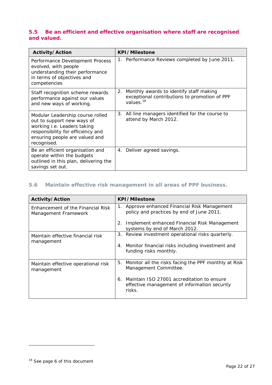### **5.5 Be an efficient and effective organisation where staff are recognised and valued.**

| Activity/Action                                                                                                                                                                     | <b>KPI/Milestone</b>                                                                                                 |  |  |  |  |
|-------------------------------------------------------------------------------------------------------------------------------------------------------------------------------------|----------------------------------------------------------------------------------------------------------------------|--|--|--|--|
| Performance Development Process<br>evolved, with people<br>understanding their performance<br>in terms of objectives and<br>competencies                                            | 1. Performance Reviews completed by June 2011.                                                                       |  |  |  |  |
| Staff recognition scheme rewards<br>performance against our values<br>and new ways of working.                                                                                      | 2. Monthly awards to identify staff making<br>exceptional contributions to promotion of PPF<br>values. <sup>18</sup> |  |  |  |  |
| Modular Leadership course rolled<br>out to support new ways of<br>working i.e. Leaders taking<br>responsibility for efficiency and<br>ensuring people are valued and<br>recognised. | 3. All line managers identified for the course to<br>attend by March 2012.                                           |  |  |  |  |
| Be an efficient organisation and<br>operate within the budgets<br>outlined in this plan, delivering the<br>savings set out.                                                         | 4. Deliver agreed savings.                                                                                           |  |  |  |  |

### **5.6 Maintain effective risk management in all areas of PPF business.**

| Activity/Action                                           | <b>KPI/Milestone</b>                                                                                       |  |  |  |  |
|-----------------------------------------------------------|------------------------------------------------------------------------------------------------------------|--|--|--|--|
| Enhancement of the Financial Risk<br>Management Framework | 1. Approve enhanced Financial Risk Management<br>policy and practices by end of June 2011.                 |  |  |  |  |
|                                                           | 2. Implement enhanced Financial Risk Management<br>systems by end of March 2012.                           |  |  |  |  |
| Maintain effective financial risk<br>management           | 3. Review investment operational risks quarterly.                                                          |  |  |  |  |
|                                                           | 4. Monitor financial risks including investment and<br>funding risks monthly.                              |  |  |  |  |
| Maintain effective operational risk<br>management         | 5. Monitor all the risks facing the PPF monthly at Risk<br>Management Committee.                           |  |  |  |  |
|                                                           | Maintain ISO 27001 accreditation to ensure<br>6.<br>effective management of information security<br>risks. |  |  |  |  |

-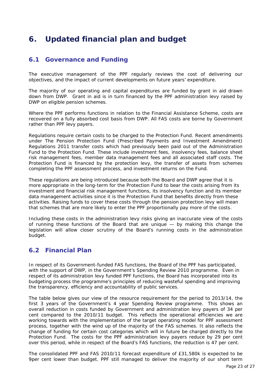## **6. Updated financial plan and budget**

### **6.1 Governance and Funding**

The executive management of the PPF regularly reviews the cost of delivering our objectives, and the impact of current developments on future years' expenditure.

The majority of our operating and capital expenditures are funded by grant in aid drawn down from DWP. Grant in aid is in turn financed by the PPF administration levy raised by DWP on eligible pension schemes.

Where the PPF performs functions in relation to the Financial Assistance Scheme, costs are recovered on a fully absorbed cost basis from DWP. All FAS costs are borne by Government rather than PPF levy payers.

Regulations require certain costs to be charged to the Protection Fund. Recent amendments under The Pension Protection Fund (Prescribed Payments and Investment Amendment) Regulations 2011 transfer costs which had previously been paid out of the Administration Fund to the Protection Fund. These include investment fees, insolvency fees, balance sheet risk management fees, member data management fees and all associated staff costs. The Protection Fund is financed by the protection levy, the transfer of assets from schemes completing the PPF assessment process, and investment returns on the Fund.

These regulations are being introduced because both the Board and DWP agree that it is more appropriate in the long-term for the Protection Fund to bear the costs arising from its investment and financial risk management functions, its insolvency function and its member data management activities since it is the Protection Fund that benefits directly from these activities. Raising funds to cover these costs through the pension protection levy will mean that schemes that are more likely to enter the PPF proportionally pay more of the costs.

Including these costs in the administration levy risks giving an inaccurate view of the costs of running these functions of the Board that are unique  $-$  by making this change the legislation will allow closer scrutiny of the Board's running costs in the administration budget.

### **6.2 Financial Plan**

In respect of its Government-funded FAS functions, the Board of the PPF has participated, with the support of DWP, in the Government's Spending Review 2010 programme. Even in respect of its administration levy funded PPF functions, the Board has incorporated into its budgeting process the programme's principles of reducing wasteful spending and improving the transparency, efficiency and accountability of public services.

The table below gives our view of the resource requirement for the period to 2013/14, the first 3 years of the Government's 4 year Spending Review programme. This shows an overall reduction in costs funded by Government and administration levy payers of 34 per cent compared to the 2010/11 budget. This reflects the operational efficiencies we are working towards with the implementation of the target operating model for PPF assessment process, together with the wind up of the majority of the FAS schemes. It also reflects the change of funding for certain cost categories which will in future be charged directly to the Protection Fund. The costs for the PPF administration levy payers reduce by 29 per cent over this period, while in respect of the Board's FAS functions, the reduction is 47 per cent.

The consolidated PPF and FAS 2010/11 forecast expenditure of £31,580k is expected to be 9per cent lower than budget. PPF still managed to deliver the majority of our short term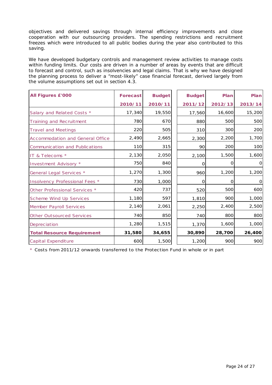objectives and delivered savings through internal efficiency improvements and close cooperation with our outsourcing providers. The spending restrictions and recruitment freezes which were introduced to all public bodies during the year also contributed to this saving.

We have developed budgetary controls and management review activities to manage costs within funding limits. Our costs are driven in a number of areas by events that are difficult to forecast and control, such as insolvencies and legal claims. That is why we have designed the planning process to deliver a "most-likely" case financial forecast, derived largely from the volume assumptions set out in section 4.3.

| <b>All Figures £'000</b>          | <b>Forecast</b> | <b>Budget</b> | <b>Budget</b> | Plan    | Plan      |
|-----------------------------------|-----------------|---------------|---------------|---------|-----------|
|                                   | 2010/11         | 2010/11       | 2011/12       | 2012/13 | 2013/14   |
| Salary and Related Costs *        | 17,340          | 19,550        | 17,560        | 16,600  | 15,200    |
| Training and Recruitment          | 780             | 670           | 880           | 500     | 500       |
| <b>Travel and Meetings</b>        | 220             | 505           | 310           | 300     | 200       |
| Accommodation and General Office  | 2,490           | 2,665         | 2,300         | 2,200   | 1,700     |
| Communication and Publications    | 110             | 315           | 90            | 200     | 100       |
| IT & Telecoms *                   | 2,130           | 2,050         | 2,100         | 1,500   | 1,600     |
| Investment Advisory *             | 750             | 840           | 0             | O       | $\Omega$  |
| General Legal Services *          | 1,270           | 1,300         | 960           | 1,200   | 1,200     |
| Insolvency Professional Fees *    | 730             | 1,000         | $\Omega$      | 0       | $\vert$ O |
| Other Professional Services *     | 420             | 737           | 520           | 500     | 600       |
| Scheme Wind Up Services           | 1,180           | 597           | 1,810         | 900     | 1,000     |
| <b>Member Payroll Services</b>    | 2,140           | 2,061         | 2,250         | 2,400   | 2,500     |
| <b>Other Outsourced Services</b>  | 740             | 850           | 740           | 800     | 800       |
| Depreciation                      | 1,280           | 1,515         | 1,370         | 1,600   | 1,000     |
| <b>Total Resource Requirement</b> | 31,580          | 34,655        | 30,890        | 28,700  | 26,400    |
| <b>Capital Expenditure</b>        | 600             | 1,500         | 1,200         | 900     | 900       |

\* Costs from 2011/12 onwards transferred to the Protection Fund in whole or in part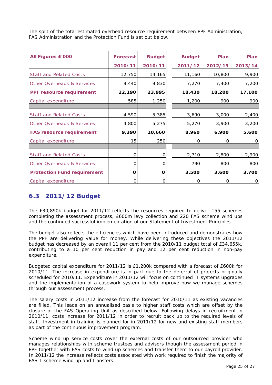The split of the total estimated overhead resource requirement between PPF Administration, FAS Administration and the Protection Fund is set out below.

| <b>All Figures £'000</b>              | Forecast | <b>Budget</b> | <b>Budget</b> | Plan    | Plan         |
|---------------------------------------|----------|---------------|---------------|---------|--------------|
|                                       | 2010/11  | 2010/11       | 2011/12       | 2012/13 | 2013/14      |
| <b>Staff and Related Costs</b>        | 12,750   | 14,165        | 11,160        | 10,800  | 9,900        |
| <b>Other Overheads &amp; Services</b> | 9,440    | 9,830         | 7,270         | 7,400   | 7,200        |
| PPF resource requirement              | 22,190   | 23,995        | 18,430        | 18,200  | 17,100       |
| Capital expenditure                   | 585      | 1,250         | 1,200         | 900     | 900          |
| <b>Staff and Related Costs</b>        | 4,590    | 5,385         | 3,690         | 3,000   | 2,400        |
| <b>Other Overheads &amp; Services</b> | 4,800    | 5,275         | 5,270         | 3,900   | 3,200        |
| <b>FAS resource requirement</b>       | 9,390    | 10,660        | 8,960         | 6,900   | 5,600        |
| Capital expenditure                   | 15       | 250           | 0             | Ο       | $\mathbf 0$  |
|                                       |          |               |               |         |              |
| <b>Staff and Related Costs</b>        | O        | O             | 2,710         | 2,800   | 2,900        |
| Other Overheads & Services            | 0        | 0             | 790           | 800     | 800          |
| <b>Protection Fund requirement</b>    | O        | O             | 3,500         | 3,600   | 3,700        |
| Capital expenditure                   | Ω        | 0             | O             | റ       | $\mathbf{O}$ |

### **6.3 2011/12 Budget**

The £30,890k budget for 2011/12 reflects the resources required to deliver 155 schemes completing the assessment process, £600m levy collection and 220 FAS scheme wind ups and the continued successful implementation of our Statement of Investment Principles.

The budget also reflects the efficiencies which have been introduced and demonstrates how the PPF are delivering value for money. While delivering these objectives the 2011/12 budget has decreased by an overall 11 per cent from the 2010/11 budget total of £34,655k, contributing to a 10 per cent reduction in pay and 12 per cent reduction in non-pay expenditure.

Budgeted capital expenditure for 2011/12 is £1,200k compared with a forecast of £600k for 2010/11. The increase in expenditure is in part due to the deferral of projects originally scheduled for 2010/11. Expenditure in 2011/12 will focus on continued IT systems upgrades and the implementation of a casework system to help improve how we manage schemes through our assessment process.

The salary costs in 2011/12 increase from the forecast for 2010/11 as existing vacancies are filled. This leads on an annualised basis to higher staff costs which are offset by the closure of the FAS Operating Unit as described below. Following delays in recruitment in 2010/11, costs increase for 2011/12 in order to recruit back up to the required levels of staff. Investment in training is planned for in 2011/12 for new and existing staff members as part of the continuous improvement program.

Scheme wind up service costs cover the external costs of our outsourced provider who manages relationships with scheme trustees and advisors though the assessment period in PPF together with FAS costs to wind up schemes and transfer them to our payroll provider. In 2011/12 the increase reflects costs associated with work required to finish the majority of FAS 1 scheme wind up and transfers.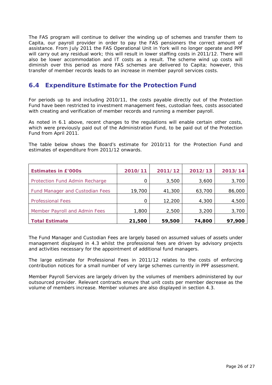The FAS program will continue to deliver the winding up of schemes and transfer them to Capita, our payroll provider in order to pay the FAS pensioners the correct amount of assistance. From July 2011 the FAS Operational Unit in York will no longer operate and PPF will carry out any residual work; this will result in lower staffing costs in 2011/12. There will also be lower accommodation and IT costs as a result. The scheme wind up costs will diminish over this period as more FAS schemes are delivered to Capita; however, this transfer of member records leads to an increase in member payroll services costs.

### **6.4 Expenditure Estimate for the Protection Fund**

For periods up to and including 2010/11, the costs payable directly out of the Protection Fund have been restricted to investment management fees, custodian fees, costs associated with creating and verification of member records and running a member payroll.

As noted in 6.1 above, recent changes to the regulations will enable certain other costs, which were previously paid out of the Administration Fund, to be paid out of the Protection Fund from April 2011.

The table below shows the Board's estimate for 2010/11 for the Protection Fund and estimates of expenditure from 2011/12 onwards.

| <b>Estimates in £'000s</b>             | 2010/11 | 2011/12 | 2012/13 | 2013/14 |
|----------------------------------------|---------|---------|---------|---------|
| Protection Fund Admin Recharge         | 0       | 3,500   | 3,600   | 3,700   |
| <b>Fund Manager and Custodian Fees</b> | 19,700  | 41,300  | 63,700  | 86,000  |
| <b>Professional Fees</b>               | 0       | 12,200  | 4,300   | 4,500   |
| Member Payroll and Admin Fees          | 1,800   | 2,500   | 3,200   | 3,700   |
| <b>Total Estimate</b>                  | 21,500  | 59,500  | 74,800  | 97,900  |

The Fund Manager and Custodian Fees are largely based on assumed values of assets under management displayed in 4.3 whilst the professional fees are driven by advisory projects and activities necessary for the appointment of additional fund managers.

The large estimate for Professional Fees in 2011/12 relates to the costs of enforcing contribution notices for a small number of very large schemes currently in PPF assessment.

Member Payroll Services are largely driven by the volumes of members administered by our outsourced provider. Relevant contracts ensure that unit costs per member decrease as the volume of members increase. Member volumes are also displayed in section 4.3.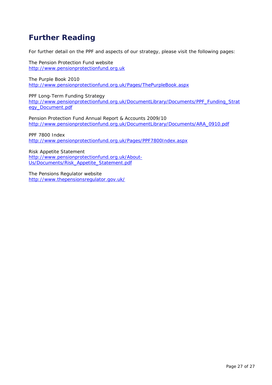## **Further Reading**

For further detail on the PPF and aspects of our strategy, please visit the following pages:

The Pension Protection Fund website http://www.pensionprotectionfund.org.uk

The Purple Book 2010 http://www.pensionprotectionfund.org.uk/Pages/ThePurpleBook.aspx

PPF Long-Term Funding Strategy http://www.pensionprotectionfund.org.uk/DocumentLibrary/Documents/PPF\_Funding\_Strat egy\_Document.pdf

Pension Protection Fund Annual Report & Accounts 2009/10 http://www.pensionprotectionfund.org.uk/DocumentLibrary/Documents/ARA\_0910.pdf

PPF 7800 Index http://www.pensionprotectionfund.org.uk/Pages/PPF7800Index.aspx

Risk Appetite Statement http://www.pensionprotectionfund.org.uk/About-Us/Documents/Risk\_Appetite\_Statement.pdf

The Pensions Regulator website http://www.thepensionsregulator.gov.uk/